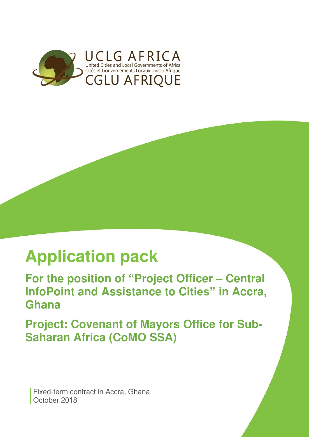

# **Application pack**

**For the position of "Project Officer – Central InfoPoint and Assistance to Cities" in Accra, Ghana** 

**Project: Covenant of Mayors Office for Sub-Saharan Africa (CoMO SSA)** 

**Fixed-term contract in Accra, Ghana** October 2018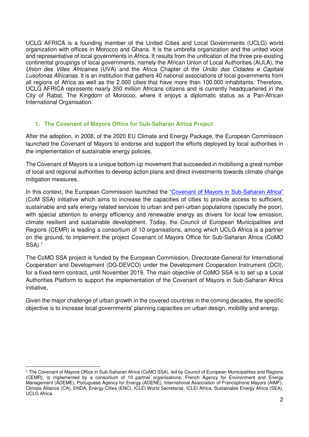UCLG AFRICA is a founding member of the United Cities and Local Governments (UCLG) world organization with offices in Morocco and Ghana. It is the umbrella organization and the united voice and representative of local governments in Africa. It results from the unification of the three pre-existing continental groupings of local governments, namely the African Union of Local Authorities (AULA), the Union des Villes Africaines (UVA) and the Africa Chapter of the União das Cidades e Capitais Lusofonas Africanas. It is an institution that gathers 40 national associations of local governments from all regions of Africa as well as the 2.000 cities that have more than 100.000 inhabitants. Therefore, UCLG AFRICA represents nearly 350 million Africans citizens and is currently headquartered in the City of Rabat, The Kingdom of Morocco, where it enjoys a diplomatic status as a Pan-African International Organisation.

## **1. The Covenant of Mayors Office for Sub-Saharan Africa Project**

After the adoption, in 2008, of the 2020 EU Climate and Energy Package, the European Commission launched the Covenant of Mayors to endorse and support the efforts deployed by local authorities in the implementation of sustainable energy policies.

The Covenant of Mayors is a unique bottom-up movement that succeeded in mobilising a great number of local and regional authorities to develop action plans and direct investments towards climate change mitigation measures.

In this context, the European Commission launched the ["Covenant of Mayors in Sub](http://www.comssa.org/)-Saharan Africa" (CoM SSA) initiative which aims to increase the capacities of cities to provide access to sufficient, sustainable and safe energy related services to urban and peri-urban populations (specially the poor), with special attention to energy efficiency and renewable energy as drivers for local low emission, climate resilient and sustainable development. Today, the Council of European Municipalities and Regions (CEMR) is leading a consortium of 10 organisations, among which UCLG Africa is a partner on the ground, to implement the project Covenant of Mayors Office for Sub-Saharan Africa (CoMO  $SSA$ ).<sup>1</sup>

The CoMO SSA project is funded by the European Commission, Directorate-General for International Cooperation and Development (DG-DEVCO) under the Development Cooperation Instrument (DCI), for a fixed-term contract, until November 2019. The main objective of CoMO SSA is to set up a Local Authorities Platform to support the implementation of the Covenant of Mayors in Sub-Saharan Africa initiative,

Given the major challenge of urban growth in the covered countries in the coming decades, the specific objective is to increase local governments' planning capacities on urban design, mobility and energy.

 $\overline{a}$ 1 The Covenant of Mayors Office in Sub-Saharan Africa (CoMO SSA), led by Council of European Municipalities and Regions (CEMR), is implemented by a consortium of 10 partner organisations: French Agency for Environment and Energy Management (ADEME), Portuguese Agency for Energy (ADENE), International Association of Francophone Mayors (AIMF), Climate Alliance (CA), ENDA, Energy Cities (ENC), ICLEI World Secretariat, ICLEI Africa, Sustainable Energy Africa (SEA), UCLG Africa.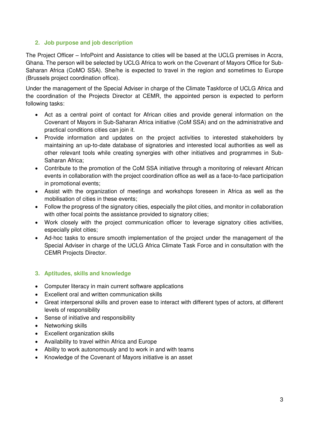# **2. Job purpose and job description**

The Project Officer – InfoPoint and Assistance to cities will be based at the UCLG premises in Accra, Ghana. The person will be selected by UCLG Africa to work on the Covenant of Mayors Office for Sub-Saharan Africa (CoMO SSA). She/he is expected to travel in the region and sometimes to Europe (Brussels project coordination office).

Under the management of the Special Adviser in charge of the Climate Taskforce of UCLG Africa and the coordination of the Projects Director at CEMR, the appointed person is expected to perform following tasks:

- Act as a central point of contact for African cities and provide general information on the Covenant of Mayors in Sub-Saharan Africa initiative (CoM SSA) and on the administrative and practical conditions cities can join it.
- Provide information and updates on the project activities to interested stakeholders by maintaining an up-to-date database of signatories and interested local authorities as well as other relevant tools while creating synergies with other initiatives and programmes in Sub-Saharan Africa;
- Contribute to the promotion of the CoM SSA initiative through a monitoring of relevant African events in collaboration with the project coordination office as well as a face-to-face participation in promotional events;
- Assist with the organization of meetings and workshops foreseen in Africa as well as the mobilisation of cities in these events;
- Follow the progress of the signatory cities, especially the pilot cities, and monitor in collaboration with other focal points the assistance provided to signatory cities;
- Work closely with the project communication officer to leverage signatory cities activities, especially pilot cities;
- Ad-hoc tasks to ensure smooth implementation of the project under the management of the Special Adviser in charge of the UCLG Africa Climate Task Force and in consultation with the CEMR Projects Director.

# **3. Aptitudes, skills and knowledge**

- Computer literacy in main current software applications
- Excellent oral and written communication skills
- Great interpersonal skills and proven ease to interact with different types of actors, at different levels of responsibility
- Sense of initiative and responsibility
- Networking skills
- Excellent organization skills
- Availability to travel within Africa and Europe
- Ability to work autonomously and to work in and with teams
- Knowledge of the Covenant of Mayors initiative is an asset